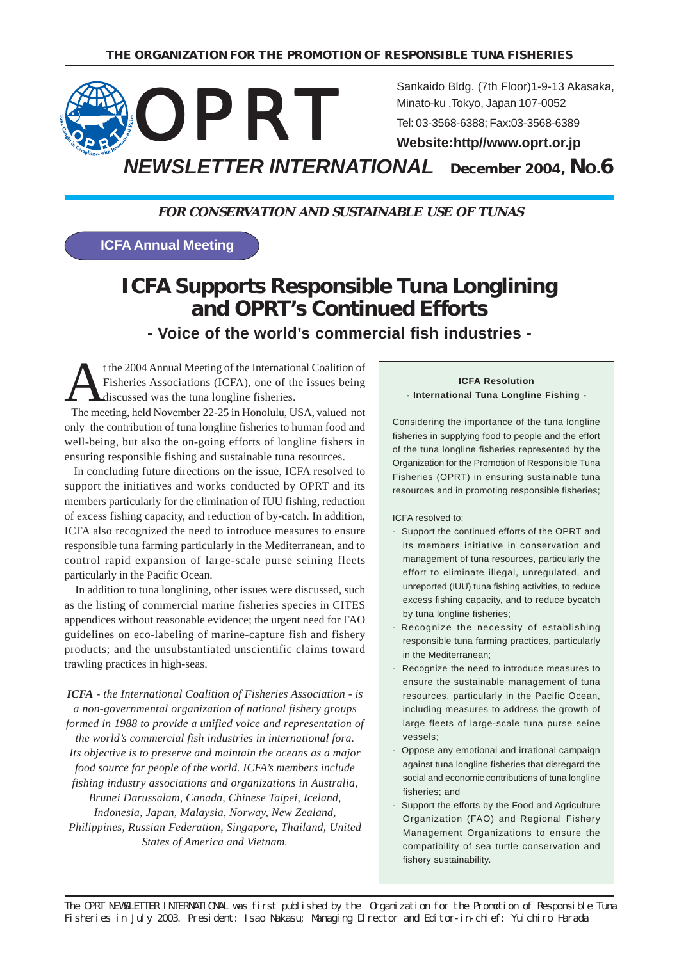

**FOR CONSERVATION AND SUSTAINABLE USE OF TUNAS**

**ICFA Annual Meeting**

# **ICFA Supports Responsible Tuna Longlining and OPRT's Continued Efforts - Voice of the world's commercial fish industries -**

t the 2004 Annual Meeting of the International Coalition of Fisheries Associations (ICFA), one of the issues being discussed was the tuna longline fisheries.

 The meeting, held November 22-25 in Honolulu, USA, valued not only the contribution of tuna longline fisheries to human food and well-being, but also the on-going efforts of longline fishers in ensuring responsible fishing and sustainable tuna resources.

 In concluding future directions on the issue, ICFA resolved to support the initiatives and works conducted by OPRT and its members particularly for the elimination of IUU fishing, reduction of excess fishing capacity, and reduction of by-catch. In addition, ICFA also recognized the need to introduce measures to ensure responsible tuna farming particularly in the Mediterranean, and to control rapid expansion of large-scale purse seining fleets particularly in the Pacific Ocean.

 In addition to tuna longlining, other issues were discussed, such as the listing of commercial marine fisheries species in CITES appendices without reasonable evidence; the urgent need for FAO guidelines on eco-labeling of marine-capture fish and fishery products; and the unsubstantiated unscientific claims toward trawling practices in high-seas.

*ICFA - the International Coalition of Fisheries Association - is a non-governmental organization of national fishery groups formed in 1988 to provide a unified voice and representation of the world's commercial fish industries in international fora. Its objective is to preserve and maintain the oceans as a major food source for people of the world. ICFA's members include fishing industry associations and organizations in Australia, Brunei Darussalam, Canada, Chinese Taipei, Iceland, Indonesia, Japan, Malaysia, Norway, New Zealand, Philippines, Russian Federation, Singapore, Thailand, United States of America and Vietnam.*

#### **ICFA Resolution - International Tuna Longline Fishing -**

Considering the importance of the tuna longline fisheries in supplying food to people and the effort of the tuna longline fisheries represented by the Organization for the Promotion of Responsible Tuna Fisheries (OPRT) in ensuring sustainable tuna resources and in promoting responsible fisheries;

ICFA resolved to:

- Support the continued efforts of the OPRT and its members initiative in conservation and management of tuna resources, particularly the effort to eliminate illegal, unregulated, and unreported (IUU) tuna fishing activities, to reduce excess fishing capacity, and to reduce bycatch by tuna longline fisheries;
- Recognize the necessity of establishing responsible tuna farming practices, particularly in the Mediterranean;
- Recognize the need to introduce measures to ensure the sustainable management of tuna resources, particularly in the Pacific Ocean, including measures to address the growth of large fleets of large-scale tuna purse seine vessels;
- Oppose any emotional and irrational campaign against tuna longline fisheries that disregard the social and economic contributions of tuna longline fisheries; and
- Support the efforts by the Food and Agriculture Organization (FAO) and Regional Fishery Management Organizations to ensure the compatibility of sea turtle conservation and fishery sustainability.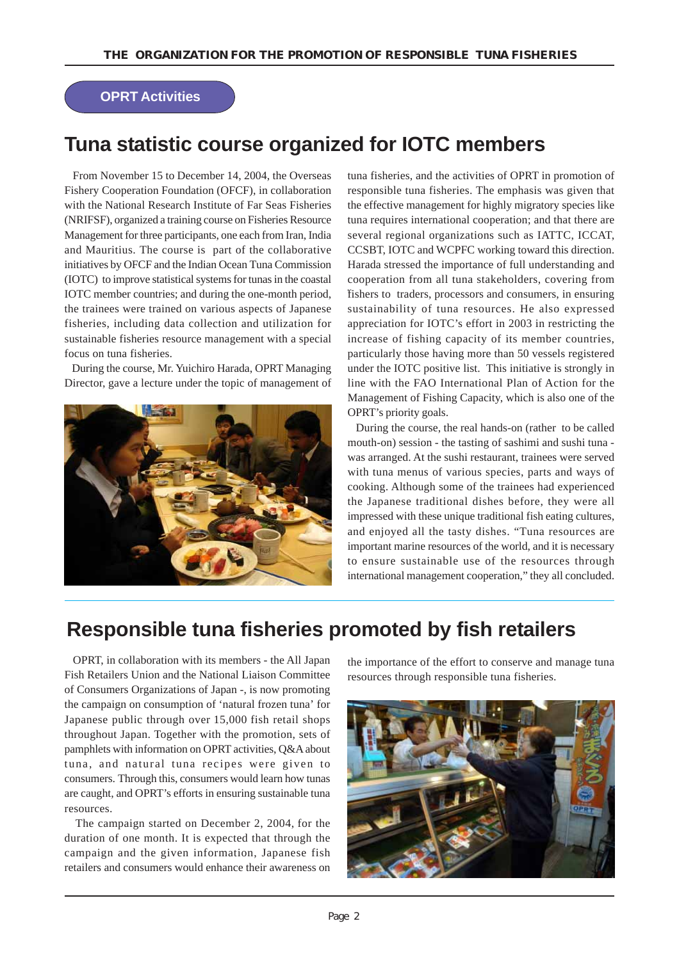### **OPRT Activities**

# **Tuna statistic course organized for IOTC members**

 From November 15 to December 14, 2004, the Overseas Fishery Cooperation Foundation (OFCF), in collaboration with the National Research Institute of Far Seas Fisheries (NRIFSF), organized a training course on Fisheries Resource Management for three participants, one each from Iran, India and Mauritius. The course is part of the collaborative initiatives by OFCF and the Indian Ocean Tuna Commission (IOTC) to improve statistical systems for tunas in the coastal IOTC member countries; and during the one-month period, the trainees were trained on various aspects of Japanese fisheries, including data collection and utilization for sustainable fisheries resource management with a special focus on tuna fisheries.

 During the course, Mr. Yuichiro Harada, OPRT Managing Director, gave a lecture under the topic of management of



tuna fisheries, and the activities of OPRT in promotion of responsible tuna fisheries. The emphasis was given that the effective management for highly migratory species like tuna requires international cooperation; and that there are several regional organizations such as IATTC, ICCAT, CCSBT, IOTC and WCPFC working toward this direction. Harada stressed the importance of full understanding and cooperation from all tuna stakeholders, covering from fishers to traders, processors and consumers, in ensuring sustainability of tuna resources. He also expressed appreciation for IOTC's effort in 2003 in restricting the increase of fishing capacity of its member countries, particularly those having more than 50 vessels registered under the IOTC positive list. This initiative is strongly in line with the FAO International Plan of Action for the Management of Fishing Capacity, which is also one of the OPRT's priority goals.

 During the course, the real hands-on (rather to be called mouth-on) session - the tasting of sashimi and sushi tuna was arranged. At the sushi restaurant, trainees were served with tuna menus of various species, parts and ways of cooking. Although some of the trainees had experienced the Japanese traditional dishes before, they were all impressed with these unique traditional fish eating cultures, and enjoyed all the tasty dishes. "Tuna resources are important marine resources of the world, and it is necessary to ensure sustainable use of the resources through international management cooperation," they all concluded.

# **Responsible tuna fisheries promoted by fish retailers**

 OPRT, in collaboration with its members - the All Japan Fish Retailers Union and the National Liaison Committee of Consumers Organizations of Japan -, is now promoting the campaign on consumption of 'natural frozen tuna' for Japanese public through over 15,000 fish retail shops throughout Japan. Together with the promotion, sets of pamphlets with information on OPRT activities, Q&A about tuna, and natural tuna recipes were given to consumers. Through this, consumers would learn how tunas are caught, and OPRT's efforts in ensuring sustainable tuna resources.

 The campaign started on December 2, 2004, for the duration of one month. It is expected that through the campaign and the given information, Japanese fish retailers and consumers would enhance their awareness on

the importance of the effort to conserve and manage tuna resources through responsible tuna fisheries.

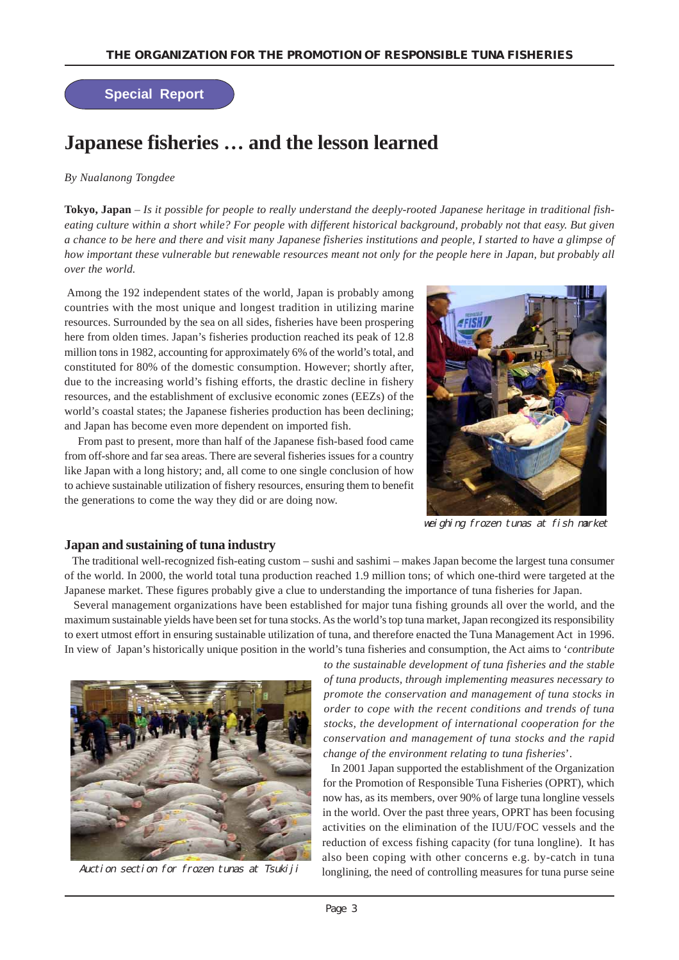### **Special Report**

# **Japanese fisheries … and the lesson learned**

#### *By Nualanong Tongdee*

**Tokyo, Japan** *– Is it possible for people to really understand the deeply-rooted Japanese heritage in traditional fisheating culture within a short while? For people with different historical background, probably not that easy. But given a chance to be here and there and visit many Japanese fisheries institutions and people, I started to have a glimpse of how important these vulnerable but renewable resources meant not only for the people here in Japan, but probably all over the world.*

 Among the 192 independent states of the world, Japan is probably among countries with the most unique and longest tradition in utilizing marine resources. Surrounded by the sea on all sides, fisheries have been prospering here from olden times. Japan's fisheries production reached its peak of 12.8 million tons in 1982, accounting for approximately 6% of the world's total, and constituted for 80% of the domestic consumption. However; shortly after, due to the increasing world's fishing efforts, the drastic decline in fishery resources, and the establishment of exclusive economic zones (EEZs) of the world's coastal states; the Japanese fisheries production has been declining; and Japan has become even more dependent on imported fish.

 From past to present, more than half of the Japanese fish-based food came from off-shore and far sea areas. There are several fisheries issues for a country like Japan with a long history; and, all come to one single conclusion of how to achieve sustainable utilization of fishery resources, ensuring them to benefit the generations to come the way they did or are doing now.



weighing frozen tunas at fish market

#### **Japan and sustaining of tuna industry**

 The traditional well-recognized fish-eating custom – sushi and sashimi – makes Japan become the largest tuna consumer of the world. In 2000, the world total tuna production reached 1.9 million tons; of which one-third were targeted at the Japanese market. These figures probably give a clue to understanding the importance of tuna fisheries for Japan.

 Several management organizations have been established for major tuna fishing grounds all over the world, and the maximum sustainable yields have been set for tuna stocks. As the world's top tuna market, Japan recongized its responsibility to exert utmost effort in ensuring sustainable utilization of tuna, and therefore enacted the Tuna Management Act in 1996. In view of Japan's historically unique position in the world's tuna fisheries and consumption, the Act aims to '*contribute*



Auction section for frozen tunas at Tsukiji

*to the sustainable development of tuna fisheries and the stable of tuna products, through implementing measures necessary to promote the conservation and management of tuna stocks in order to cope with the recent conditions and trends of tuna stocks, the development of international cooperation for the conservation and management of tuna stocks and the rapid change of the environment relating to tuna fisheries*'.

 In 2001 Japan supported the establishment of the Organization for the Promotion of Responsible Tuna Fisheries (OPRT), which now has, as its members, over 90% of large tuna longline vessels in the world. Over the past three years, OPRT has been focusing activities on the elimination of the IUU/FOC vessels and the reduction of excess fishing capacity (for tuna longline). It has also been coping with other concerns e.g. by-catch in tuna longlining, the need of controlling measures for tuna purse seine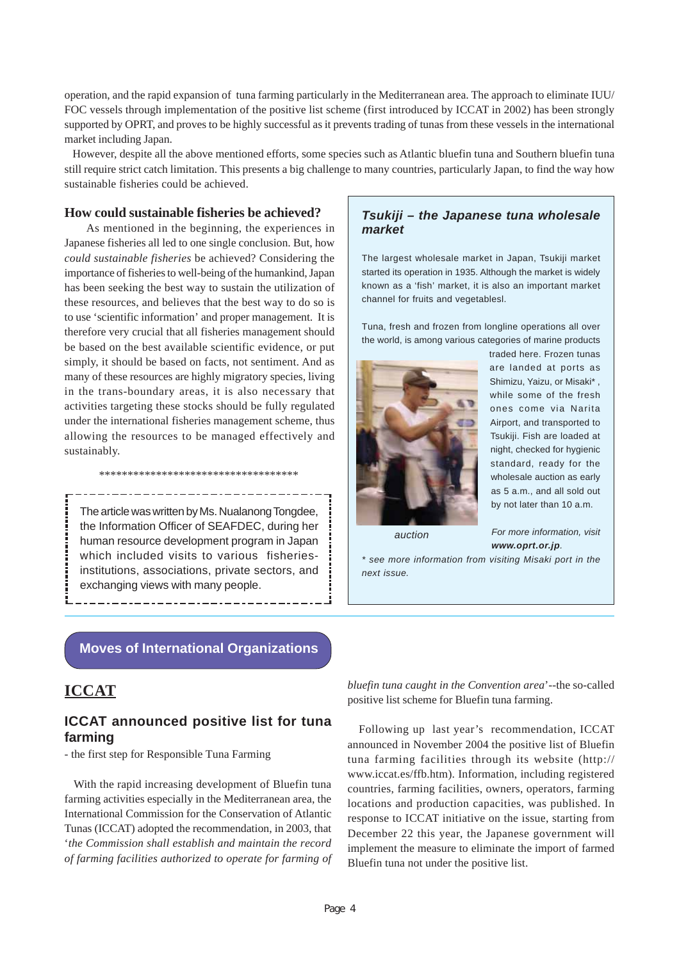operation, and the rapid expansion of tuna farming particularly in the Mediterranean area. The approach to eliminate IUU/ FOC vessels through implementation of the positive list scheme (first introduced by ICCAT in 2002) has been strongly supported by OPRT, and proves to be highly successful as it prevents trading of tunas from these vessels in the international market including Japan.

 However, despite all the above mentioned efforts, some species such as Atlantic bluefin tuna and Southern bluefin tuna still require strict catch limitation. This presents a big challenge to many countries, particularly Japan, to find the way how sustainable fisheries could be achieved.

#### **How could sustainable fisheries be achieved?**

 As mentioned in the beginning, the experiences in Japanese fisheries all led to one single conclusion. But, how *could sustainable fisheries* be achieved? Considering the importance of fisheries to well-being of the humankind, Japan has been seeking the best way to sustain the utilization of these resources, and believes that the best way to do so is to use 'scientific information' and proper management. It is therefore very crucial that all fisheries management should be based on the best available scientific evidence, or put simply, it should be based on facts, not sentiment. And as many of these resources are highly migratory species, living in the trans-boundary areas, it is also necessary that activities targeting these stocks should be fully regulated under the international fisheries management scheme, thus allowing the resources to be managed effectively and sustainably.

The article was written by Ms. Nualanong Tongdee, the Information Officer of SEAFDEC, during her human resource development program in Japan which included visits to various fisheriesinstitutions, associations, private sectors, and exchanging views with many people.

\*\*\*\*\*\*\*\*\*\*\*\*\*\*\*\*\*\*\*\*\*\*\*\*\*\*\*\*\*\*\*\*\*\*\*

------------------------

---------------

#### *Tsukiji – the Japanese tuna wholesale market*

The largest wholesale market in Japan, Tsukiji market started its operation in 1935. Although the market is widely known as a 'fish' market, it is also an important market channel for fruits and vegetablesl.

Tuna, fresh and frozen from longline operations all over the world, is among various categories of marine products



traded here. Frozen tunas are landed at ports as Shimizu, Yaizu, or Misaki\* , while some of the fresh ones come via Narita Airport, and transported to Tsukiji. Fish are loaded at night, checked for hygienic standard, ready for the wholesale auction as early as 5 a.m., and all sold out by not later than 10 a.m.

*auction*

*For more information, visit www.oprt.or.jp.*

*\* see more information from visiting Misaki port in the next issue.*

#### **Moves of International Organizations**

## **ICCAT**

#### **ICCAT announced positive list for tuna farming**

- the first step for Responsible Tuna Farming

 With the rapid increasing development of Bluefin tuna farming activities especially in the Mediterranean area, the International Commission for the Conservation of Atlantic Tunas (ICCAT) adopted the recommendation, in 2003, that '*the Commission shall establish and maintain the record of farming facilities authorized to operate for farming of* *bluefin tuna caught in the Convention area*'--the so-called positive list scheme for Bluefin tuna farming.

 Following up last year's recommendation, ICCAT announced in November 2004 the positive list of Bluefin tuna farming facilities through its website (http:// www.iccat.es/ffb.htm). Information, including registered countries, farming facilities, owners, operators, farming locations and production capacities, was published. In response to ICCAT initiative on the issue, starting from December 22 this year, the Japanese government will implement the measure to eliminate the import of farmed Bluefin tuna not under the positive list.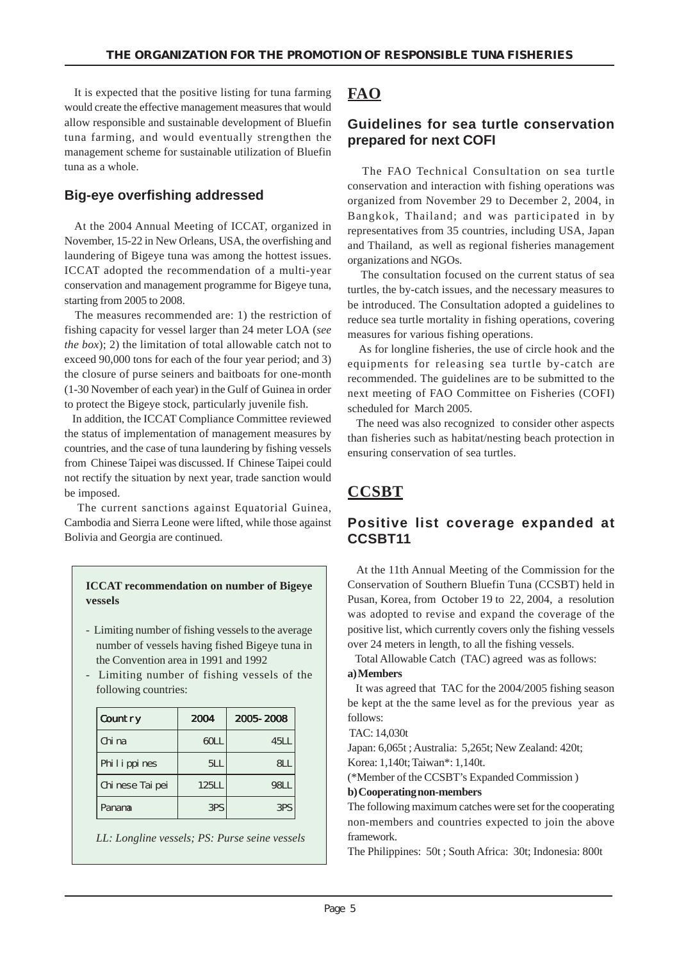It is expected that the positive listing for tuna farming would create the effective management measures that would allow responsible and sustainable development of Bluefin tuna farming, and would eventually strengthen the management scheme for sustainable utilization of Bluefin tuna as a whole.

### **Big-eye overfishing addressed**

 At the 2004 Annual Meeting of ICCAT, organized in November, 15-22 in New Orleans, USA, the overfishing and laundering of Bigeye tuna was among the hottest issues. ICCAT adopted the recommendation of a multi-year conservation and management programme for Bigeye tuna, starting from 2005 to 2008.

 The measures recommended are: 1) the restriction of fishing capacity for vessel larger than 24 meter LOA (*see the box*); 2) the limitation of total allowable catch not to exceed 90,000 tons for each of the four year period; and 3) the closure of purse seiners and baitboats for one-month (1-30 November of each year) in the Gulf of Guinea in order to protect the Bigeye stock, particularly juvenile fish.

 In addition, the ICCAT Compliance Committee reviewed the status of implementation of management measures by countries, and the case of tuna laundering by fishing vessels from Chinese Taipei was discussed. If Chinese Taipei could not rectify the situation by next year, trade sanction would be imposed.

 The current sanctions against Equatorial Guinea, Cambodia and Sierra Leone were lifted, while those against Bolivia and Georgia are continued.

#### **ICCAT recommendation on number of Bigeye vessels**

- Limiting number of fishing vessels to the average number of vessels having fished Bigeye tuna in the Convention area in 1991 and 1992
- Limiting number of fishing vessels of the following countries:

| Count ry         | 2004  | 2005-2008 |
|------------------|-------|-----------|
| Chi na           | 60LL  | 45H       |
| Phi l i ppi nes  | 5LL   | ЯI        |
| Chi nese Tai pei | 125LL | 98I I     |
| Panana           | 3PS   | 3PS       |

*LL: Longline vessels; PS: Purse seine vessels*

## **FAO**

## **Guidelines for sea turtle conservation prepared for next COFI**

 The FAO Technical Consultation on sea turtle conservation and interaction with fishing operations was organized from November 29 to December 2, 2004, in Bangkok, Thailand; and was participated in by representatives from 35 countries, including USA, Japan and Thailand, as well as regional fisheries management organizations and NGOs.

 The consultation focused on the current status of sea turtles, the by-catch issues, and the necessary measures to be introduced. The Consultation adopted a guidelines to reduce sea turtle mortality in fishing operations, covering measures for various fishing operations.

 As for longline fisheries, the use of circle hook and the equipments for releasing sea turtle by-catch are recommended. The guidelines are to be submitted to the next meeting of FAO Committee on Fisheries (COFI) scheduled for March 2005.

 The need was also recognized to consider other aspects than fisheries such as habitat/nesting beach protection in ensuring conservation of sea turtles.

## **CCSBT**

## **Positive list coverage expanded at CCSBT11**

 At the 11th Annual Meeting of the Commission for the Conservation of Southern Bluefin Tuna (CCSBT) held in Pusan, Korea, from October 19 to 22, 2004, a resolution was adopted to revise and expand the coverage of the positive list, which currently covers only the fishing vessels over 24 meters in length, to all the fishing vessels.

 Total Allowable Catch (TAC) agreed was as follows: **a) Members**

 It was agreed that TAC for the 2004/2005 fishing season be kept at the the same level as for the previous year as follows:

TAC: 14,030t

Japan: 6,065t ; Australia: 5,265t; New Zealand: 420t; Korea: 1,140t; Taiwan\*: 1,140t.

(\*Member of the CCSBT's Expanded Commission ) **b) Cooperating non-members**

The following maximum catches were set for the cooperating non-members and countries expected to join the above framework.

The Philippines: 50t ; South Africa: 30t; Indonesia: 800t